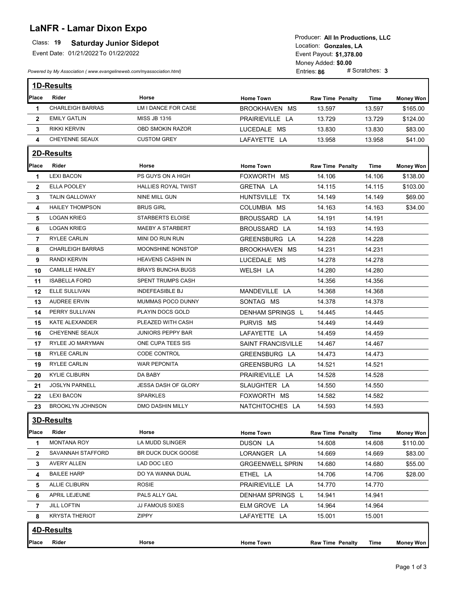# **LaNFR - Lamar Dixon Expo**

### **Class: 19 Saturday Junior Sidepot**

Event Date: 01/21/2022 To 01/22/2022

*Powered by My Association ( www.evangelineweb.com/myassociation.html)* 

**\$1,378.00** Event Payout: Entries: **86** Money Added: **\$0.00**<br>Entries: **86** # Scratches: **3** Location: Gonzales, LA Producer: **All In Productions, LLC**

|                         | <b>1D-Results</b>       |                            |                           |                         |          |                  |
|-------------------------|-------------------------|----------------------------|---------------------------|-------------------------|----------|------------------|
| Place                   | Rider                   | Horse                      | <b>Home Town</b>          | <b>Raw Time Penalty</b> | Time     | <b>Money Won</b> |
| 1                       | <b>CHARLEIGH BARRAS</b> | LM I DANCE FOR CASE        | BROOKHAVEN MS             | 13.597                  | 13.597   | \$165.00         |
| $\overline{2}$          | <b>EMILY GATLIN</b>     | <b>MISS JB 1316</b>        | PRAIRIEVILLE LA           | 13.729                  | 13.729   | \$124.00         |
| 3                       | RIKKI KERVIN            | OBD SMOKIN RAZOR           | LUCEDALE MS               | 13.830                  | 13.830   | \$83.00          |
| 4                       | <b>CHEYENNE SEAUX</b>   | <b>CUSTOM GREY</b>         | LAFAYETTE LA              | 13.958                  | 13.958   | \$41.00          |
|                         | <b>2D-Results</b>       |                            |                           |                         |          |                  |
| Place                   | Rider                   | Horse                      | <b>Home Town</b>          | <b>Raw Time Penalty</b> | Time     | <b>Money Won</b> |
| 1                       | <b>LEXI BACON</b>       | PS GUYS ON A HIGH          | FOXWORTH MS               | 14.106                  | 14.106   | \$138.00         |
| $\mathbf{2}$            | ELLA POOLEY             | HALLIES ROYAL TWIST        | GRETNA LA                 | 14.115                  | 14.115   | \$103.00         |
| 3                       | <b>TALIN GALLOWAY</b>   | NINE MILL GUN              | HUNTSVILLE TX             | 14.149                  | 14.149   | \$69.00          |
| 4                       | <b>HAILEY THOMPSON</b>  | <b>BRUS GIRL</b>           | COLUMBIA MS               | 14.163                  | 14.163   | \$34.00          |
| 5                       | <b>LOGAN KRIEG</b>      | STARBERTS ELOISE           | BROUSSARD LA              | 14.191                  | 14.191   |                  |
| 6                       | <b>LOGAN KRIEG</b>      | <b>MAEBY A STARBERT</b>    | BROUSSARD LA              | 14.193                  | 14.193   |                  |
| $\overline{\mathbf{r}}$ | RYLEE CARLIN            | MINI DO RUN RUN            | GREENSBURG LA             | 14.228                  | 14.228   |                  |
| 8                       | <b>CHARLEIGH BARRAS</b> | MOONSHINE NONSTOP          | BROOKHAVEN MS             | 14.231                  | 14.231   |                  |
| 9                       | RANDI KERVIN            | HEAVENS CASHIN IN          | LUCEDALE MS               | 14.278                  | 14.278   |                  |
| 10                      | <b>CAMILLE HANLEY</b>   | <b>BRAYS BUNCHA BUGS</b>   | WELSH LA                  | 14.280                  | 14.280   |                  |
| 11                      | <b>ISABELLA FORD</b>    | SPENT TRUMPS CASH          |                           | 14.356                  | 14.356   |                  |
| 12                      | ELLE SULLIVAN           | INDEFEASIBLE BJ            | MANDEVILLE LA             | 14.368                  | 14.368   |                  |
| 13                      | <b>AUDREE ERVIN</b>     | MUMMAS POCO DUNNY          | SONTAG MS                 | 14.378                  | 14.378   |                  |
| 14                      | PERRY SULLIVAN          | PLAYIN DOCS GOLD           | <b>DENHAM SPRINGS L</b>   | 14.445                  | 14.445   |                  |
| 15                      | KATE ALEXANDER          | PLEAZED WITH CASH          | PURVIS MS                 | 14.449                  | 14.449   |                  |
| 16                      | CHEYENNE SEAUX          | <b>JUNIORS PEPPY BAR</b>   | LAFAYETTE LA              | 14.459                  | 14.459   |                  |
| 17                      | RYLEE JO MARYMAN        | ONE CUPA TEES SIS          | <b>SAINT FRANCISVILLE</b> | 14.467                  | 14.467   |                  |
| 18                      | RYLEE CARLIN            | <b>CODE CONTROL</b>        | GREENSBURG LA             | 14.473                  | 14 4 7 3 |                  |
| 19                      | <b>RYLEE CARLIN</b>     | WAR PEPONITA               | GREENSBURG LA             | 14.521                  | 14.521   |                  |
| 20                      | <b>KYLIE CLIBURN</b>    | DA BABY                    | PRAIRIEVILLE LA           | 14.528                  | 14.528   |                  |
| 21                      | <b>JOSLYN PARNELL</b>   | <b>JESSA DASH OF GLORY</b> | SLAUGHTER LA              | 14.550                  | 14.550   |                  |
| 22                      | <b>LEXI BACON</b>       | <b>SPARKLES</b>            | FOXWORTH MS               | 14.582                  | 14.582   |                  |
| 23                      | <b>BROOKLYN JOHNSON</b> | DMO DASHIN MILLY           | NATCHITOCHES LA           | 14.593                  | 14.593   |                  |
|                         | 3D-Results              |                            |                           |                         |          |                  |
| Place                   | Rider                   | Horse                      | <b>Home Town</b>          | <b>Raw Time Penalty</b> | Time     | <b>Money Won</b> |
| 1                       | <b>MONTANA ROY</b>      | LA MUDD SLINGER            | DUSON LA                  | 14.608                  | 14.608   | \$110.00         |
| $\mathbf{2}$            | SAVANNAH STAFFORD       | BR DUCK DUCK GOOSE         | LORANGER LA               | 14.669                  | 14.669   | \$83.00          |
| 3                       | AVERY ALLEN             | LAD DOC LEO                | <b>GRGEENWELL SPRIN</b>   | 14.680                  | 14.680   | \$55.00          |
| 4                       | <b>BAILEE HARP</b>      | DO YA WANNA DUAL           | ETHEL LA                  | 14.706                  | 14.706   | \$28.00          |
| 5                       | ALLIE CLIBURN           | ROSIE                      | PRAIRIEVILLE LA           | 14.770                  | 14.770   |                  |
| 6                       | APRIL LEJEUNE           | PALS ALLY GAL              | DENHAM SPRINGS L          | 14.941                  | 14.941   |                  |
| 7                       | <b>JILL LOFTIN</b>      | JJ FAMOUS SIXES            | ELM GROVE LA              | 14.964                  | 14.964   |                  |
| 8                       | <b>KRYSTA THERIOT</b>   | ZIPPY                      | LAFAYETTE LA              | 15.001                  | 15.001   |                  |
|                         | 4D-Results              |                            |                           |                         |          |                  |
| Place                   | Rider                   | Horse                      |                           |                         |          |                  |
|                         |                         |                            | <b>Home Town</b>          | <b>Raw Time Penalty</b> | Time     | <b>Money Won</b> |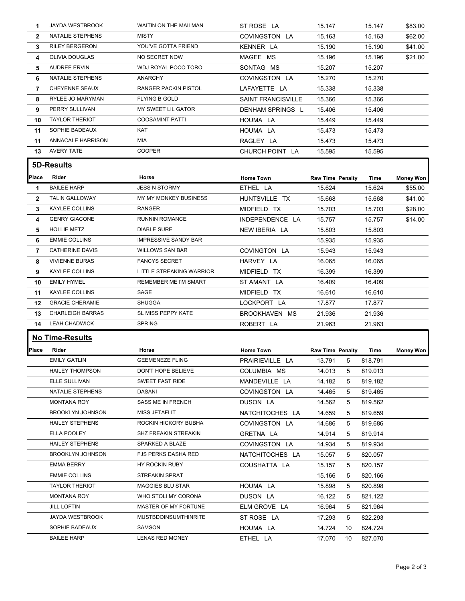| 1              | <b>JAYDA WESTBROOK</b>  | WAITIN ON THE MAILMAN       | ST ROSE LA                | 15.147                  | 15.147  | \$83.00          |
|----------------|-------------------------|-----------------------------|---------------------------|-------------------------|---------|------------------|
| $\overline{2}$ | NATALIE STEPHENS        | <b>MISTY</b>                | COVINGSTON LA             | 15.163                  | 15.163  | \$62.00          |
| 3              | <b>RILEY BERGERON</b>   | YOU'VE GOTTA FRIEND         | KENNER LA                 | 15.190                  | 15.190  | \$41.00          |
| 4              | OLIVIA DOUGLAS          | NO SECRET NOW               | MAGEE MS                  | 15.196                  | 15.196  | \$21.00          |
| 5              | <b>AUDREE ERVIN</b>     | WDJ ROYAL POCO TORO         | SONTAG MS                 | 15.207                  | 15.207  |                  |
| 6              | NATALIE STEPHENS        | <b>ANARCHY</b>              | COVINGSTON LA             | 15.270                  | 15.270  |                  |
| $\overline{7}$ | CHEYENNE SEAUX          | <b>RANGER PACKIN PISTOL</b> | LAFAYETTE LA              | 15.338                  | 15.338  |                  |
| 8              | RYLEE JO MARYMAN        | <b>FLYING B GOLD</b>        | <b>SAINT FRANCISVILLE</b> | 15.366                  | 15.366  |                  |
| 9              | PERRY SULLIVAN          | MY SWEET LIL GATOR          | DENHAM SPRINGS L          | 15.406                  | 15.406  |                  |
| 10             | <b>TAYLOR THERIOT</b>   | <b>COOSAMINT PATTI</b>      | HOUMA LA                  | 15.449                  | 15.449  |                  |
| 11             | SOPHIE BADEAUX          | KAT                         | HOUMA LA                  | 15.473                  | 15.473  |                  |
| 11             | ANNACALE HARRISON       | MIA                         | RAGLEY LA                 | 15.473                  | 15.473  |                  |
| 13             | <b>AVERY TATE</b>       | <b>COOPER</b>               | CHURCH POINT LA           | 15.595                  | 15.595  |                  |
|                | 5D-Results              |                             |                           |                         |         |                  |
|                |                         |                             |                           |                         |         |                  |
| Place          | Rider                   | Horse                       | <b>Home Town</b>          | <b>Raw Time Penalty</b> | Time    | <b>Money Won</b> |
| 1              | <b>BAILEE HARP</b>      | <b>JESS N STORMY</b>        | ETHEL LA                  | 15.624                  | 15.624  | \$55.00          |
| $\mathbf{2}$   | <b>TALIN GALLOWAY</b>   | MY MY MONKEY BUSINESS       | HUNTSVILLE TX             | 15.668                  | 15.668  | \$41.00          |
| 3              | KAYLEE COLLINS          | <b>RANGER</b>               | MIDFIELD TX               | 15.703                  | 15.703  | \$28.00          |
| 4              | <b>GENRY GIACONE</b>    | <b>RUNNIN ROMANCE</b>       | INDEPENDENCE LA           | 15.757                  | 15.757  | \$14.00          |
| 5              | <b>HOLLIE METZ</b>      | <b>DIABLE SURE</b>          | NEW IBERIA LA             | 15.803                  | 15.803  |                  |
| 6              | <b>EMMIE COLLINS</b>    | <b>IMPRESSIVE SANDY BAR</b> |                           | 15.935                  | 15.935  |                  |
| $\overline{7}$ | <b>CATHERINE DAVIS</b>  | <b>WILLOWS SAN BAR</b>      | COVINGTON LA              | 15.943                  | 15.943  |                  |
| 8              | <b>VIVIENNE BURAS</b>   | <b>FANCYS SECRET</b>        | HARVEY LA                 | 16.065                  | 16.065  |                  |
| 9              | KAYLEE COLLINS          | LITTLE STREAKING WARRIOR    | MIDFIELD TX               | 16.399                  | 16.399  |                  |
| 10             | <b>EMILY HYMEL</b>      | REMEMBER ME I'M SMART       | ST AMANT LA               | 16.409                  | 16.409  |                  |
| 11             | <b>KAYLEE COLLINS</b>   | SAGE                        | MIDFIELD TX               | 16.610                  | 16.610  |                  |
| 12             | <b>GRACIE CHERAMIE</b>  | SHUGGA                      | LOCKPORT LA               | 17.877                  | 17.877  |                  |
| 13             | <b>CHARLEIGH BARRAS</b> | SL MISS PEPPY KATE          | BROOKHAVEN MS             | 21.936                  | 21.936  |                  |
| 14             | <b>LEAH CHADWICK</b>    | <b>SPRING</b>               | ROBERT LA                 | 21.963                  | 21.963  |                  |
|                | <b>No Time-Results</b>  |                             |                           |                         |         |                  |
| Place          | Rider                   | Horse                       | <b>Home Town</b>          | <b>Raw Time Penalty</b> | Time    | Money Won        |
|                | <b>EMILY GATLIN</b>     | <b>GEEMENEZE FLING</b>      | PRAIRIEVILLE LA           | 13.791<br>5             | 818.791 |                  |
|                | <b>HAILEY THOMPSON</b>  | DON'T HOPE BELIEVE          | COLUMBIA MS               | 14.013<br>5             | 819.013 |                  |
|                | ELLE SULLIVAN           | SWEET FAST RIDE             | MANDEVILLE LA             | 14.182<br>5             | 819.182 |                  |
|                | NATALIE STEPHENS        | DASANI                      | COVINGSTON LA             | 14.465<br>5             | 819.465 |                  |
|                | <b>MONTANA ROY</b>      | SASS ME IN FRENCH           | DUSON LA                  | 14.562<br>5             | 819.562 |                  |
|                |                         |                             |                           |                         |         |                  |
|                | <b>BROOKLYN JOHNSON</b> | MISS JETAFLIT               | NATCHITOCHES LA           | 14.659<br>5             | 819.659 |                  |
|                | <b>HAILEY STEPHENS</b>  | ROCKIN HICKORY BUBHA        | COVINGSTON LA             | 14.686<br>5             | 819.686 |                  |
|                | ELLA POOLEY             | SHZ FREAKIN STREAKIN        | GRETNA LA                 | 14.914<br>5             | 819.914 |                  |
|                | <b>HAILEY STEPHENS</b>  | SPARKED A BLAZE             | COVINGSTON LA             | 14.934<br>5             | 819.934 |                  |
|                | <b>BROOKLYN JOHNSON</b> | FJS PERKS DASHA RED         | NATCHITOCHES LA           | 15.057<br>5             | 820.057 |                  |
|                | EMMA BERRY              | HY ROCKIN RUBY              | COUSHATTA LA              | 15.157<br>5             | 820.157 |                  |
|                | <b>EMMIE COLLINS</b>    | STREAKIN SPRAT              |                           | 15.166<br>5             | 820.166 |                  |
|                | <b>TAYLOR THERIOT</b>   | <b>MAGGIES BLU STAR</b>     | HOUMA LA                  | 15.898<br>5             | 820.898 |                  |
|                | MONTANA ROY             | WHO STOLI MY CORONA         | DUSON LA                  | 16.122<br>5             | 821.122 |                  |
|                | <b>JILL LOFTIN</b>      | MASTER OF MY FORTUNE        | ELM GROVE LA              | 16.964<br>5             | 821.964 |                  |
|                | JAYDA WESTBROOK         | <b>MUSTBDOINSUMTHINRITE</b> | ST ROSE LA                | 17.293<br>5             | 822.293 |                  |
|                | SOPHIE BADEAUX          | SAMSON                      | HOUMA LA                  | 14.724<br>10            | 824.724 |                  |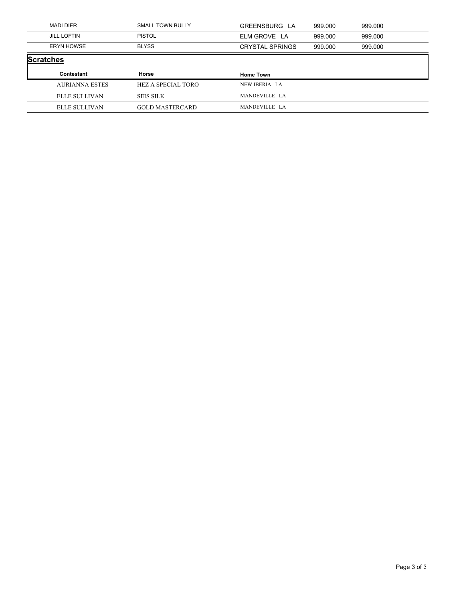|                  | <b>MADI DIER</b>      | SMALL TOWN BULLY       | GREENSBURG LA          | 999.000 | 999.000 |
|------------------|-----------------------|------------------------|------------------------|---------|---------|
|                  | <b>JILL LOFTIN</b>    | PISTOL                 | ELM GROVE LA           | 999.000 | 999.000 |
|                  | <b>ERYN HOWSE</b>     | <b>BLYSS</b>           | <b>CRYSTAL SPRINGS</b> | 999.000 | 999.000 |
| <b>Scratches</b> |                       |                        |                        |         |         |
|                  | Contestant            | Horse                  | <b>Home Town</b>       |         |         |
|                  | <b>AURIANNA ESTES</b> | HEZ A SPECIAL TORO     | NEW IBERIA LA          |         |         |
|                  |                       |                        |                        |         |         |
|                  | ELLE SULLIVAN         | <b>SEIS SILK</b>       | MANDEVILLE LA          |         |         |
|                  | ELLE SULLIVAN         | <b>GOLD MASTERCARD</b> | MANDEVILLE LA          |         |         |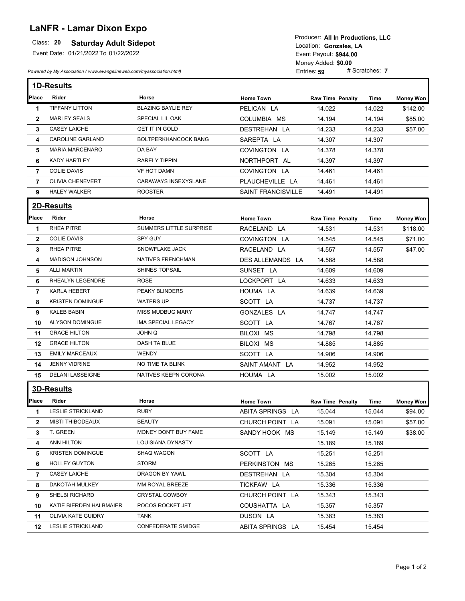## **LaNFR - Lamar Dixon Expo**

#### **Saturday Adult Sidepot**

Event Date: 01/21/2022 To 01/22/2022

*Powered by My Association ( www.evangelineweb.com/myassociation.html)* 

**\$944.00** Event Payout: Entries: **59** Money Added: **\$0.00** Location: Gonzales, LA Producer: **All In Productions, LLC**

|                         | <b>1D-Results</b>        |                             |                           |                         |        |                  |
|-------------------------|--------------------------|-----------------------------|---------------------------|-------------------------|--------|------------------|
| Place                   | <b>Rider</b>             | Horse                       | <b>Home Town</b>          | <b>Raw Time Penalty</b> | Time   | <b>Money Won</b> |
| 1                       | <b>TIFFANY LITTON</b>    | <b>BLAZING BAYLIE REY</b>   | PELICAN LA                | 14.022                  | 14.022 | \$142.00         |
| $\mathbf{2}$            | <b>MARLEY SEALS</b>      | SPECIAL LIL OAK             | COLUMBIA MS               | 14.194                  | 14.194 | \$85.00          |
| 3                       | <b>CASEY LAICHE</b>      | <b>GET IT IN GOLD</b>       | DESTREHAN LA              | 14.233                  | 14.233 | \$57.00          |
| 4                       | <b>CAROLINE GARLAND</b>  | <b>BOLTPERKHANCOCK BANG</b> | SAREPTA LA                | 14.307                  | 14.307 |                  |
| 5                       | <b>MARIA MARCENARO</b>   | DA BAY                      | COVINGTON LA              | 14.378                  | 14.378 |                  |
| 6                       | <b>KADY HARTLEY</b>      | <b>RARELY TIPPIN</b>        | NORTHPORT AL              | 14.397                  | 14.397 |                  |
| $\overline{7}$          | <b>COLIE DAVIS</b>       | <b>VF HOT DAMN</b>          | COVINGTON LA              | 14.461                  | 14.461 |                  |
| $\overline{7}$          | <b>OLIVIA CHENEVERT</b>  | CARAWAYS INSEXYSLANE        | PLAUCHEVILLE LA           | 14.461                  | 14.461 |                  |
| 9                       | <b>HALEY WALKER</b>      | <b>ROOSTER</b>              | <b>SAINT FRANCISVILLE</b> | 14.491                  | 14.491 |                  |
|                         | 2D-Results               |                             |                           |                         |        |                  |
| Place                   | Rider                    | Horse                       | <b>Home Town</b>          | <b>Raw Time Penalty</b> | Time   | <b>Money Won</b> |
| 1                       | <b>RHEA PITRE</b>        | SUMMERS LITTLE SURPRISE     | RACELAND LA               | 14.531                  | 14.531 | \$118.00         |
| $\mathbf{2}$            | <b>COLIE DAVIS</b>       | SPY GUY                     | COVINGTON LA              | 14.545                  | 14.545 | \$71.00          |
| 3                       | <b>RHEA PITRE</b>        | SNOWFLAKE JACK              | RACELAND LA               | 14.557                  | 14.557 | \$47.00          |
| 4                       | <b>MADISON JOHNSON</b>   | <b>NATIVES FRENCHMAN</b>    | DES ALLEMANDS LA          | 14.588                  | 14.588 |                  |
| 5                       | <b>ALLI MARTIN</b>       | <b>SHINES TOPSAIL</b>       | SUNSET LA                 | 14.609                  | 14.609 |                  |
| 6                       | RHEALYN LEGENDRE         | <b>ROSE</b>                 | LOCKPORT LA               | 14.633                  | 14.633 |                  |
| $\overline{\mathbf{r}}$ | <b>KARLA HEBERT</b>      | PEAKY BLINDERS              | HOUMA LA                  | 14.639                  | 14.639 |                  |
| 8                       | <b>KRISTEN DOMINGUE</b>  | <b>WATERS UP</b>            | SCOTT LA                  | 14.737                  | 14.737 |                  |
| 9                       | KALEB BABIN              | <b>MISS MUDBUG MARY</b>     | GONZALES LA               | 14.747                  | 14.747 |                  |
| 10                      | <b>ALYSON DOMINGUE</b>   | IMA SPECIAL LEGACY          | SCOTT LA                  | 14.767                  | 14.767 |                  |
| 11                      | <b>GRACE HILTON</b>      | JOHN Q                      | BILOXI MS                 | 14.798                  | 14.798 |                  |
| 12                      | <b>GRACE HILTON</b>      | <b>DASH TA BLUE</b>         | BILOXI MS                 | 14.885                  | 14.885 |                  |
| 13                      | <b>EMILY MARCEAUX</b>    | <b>WENDY</b>                | SCOTT LA                  | 14.906                  | 14.906 |                  |
| 14                      | <b>JENNY VIDRINE</b>     | NO TIME TA BLINK            | SAINT AMANT LA            | 14.952                  | 14.952 |                  |
| 15                      | DELANI LASSEIGNE         | NATIVES KEEPN CORONA        | HOUMA LA                  | 15.002                  | 15.002 |                  |
|                         | <b>3D-Results</b>        |                             |                           |                         |        |                  |
| Place                   | Rider                    | Horse                       | <b>Home Town</b>          | <b>Raw Time Penalty</b> | Time   | <b>Money Won</b> |
| 1                       | <b>LESLIE STRICKLAND</b> | <b>RUBY</b>                 | ABITA SPRINGS LA          | 15.044                  | 15.044 | \$94.00          |
| 2                       | <b>MISTI THIBODEAUX</b>  | <b>BEAUTY</b>               | CHURCH POINT LA           | 15.091                  | 15.091 | \$57.00          |
| 3                       | T. GREEN                 | MONEY DON'T BUY FAME        | SANDY HOOK MS             | 15.149                  | 15.149 | \$38.00          |
| 4                       | ANN HILTON               | LOUISIANA DYNASTY           |                           | 15.189                  | 15.189 |                  |
| 5                       | <b>KRISTEN DOMINGUE</b>  | SHAQ WAGON                  | SCOTT LA                  | 15.251                  | 15.251 |                  |
| 6                       | <b>HOLLEY GUYTON</b>     | STORM                       | PERKINSTON MS             | 15.265                  | 15.265 |                  |
| 7                       | <b>CASEY LAICHE</b>      | DRAGON BY YAWL              | DESTREHAN LA              | 15.304                  | 15.304 |                  |
| 8                       | DAKOTAH MULKEY           | MM ROYAL BREEZE             | TICKFAW LA                | 15.336                  | 15.336 |                  |
| 9                       | SHELBI RICHARD           | CRYSTAL COWBOY              | CHURCH POINT LA           | 15.343                  | 15.343 |                  |
| 10                      | KATIE BIERDEN HALBMAIER  | POCOS ROCKET JET            | COUSHATTA LA              | 15.357                  | 15.357 |                  |
| 11                      | OLIVIA KATE GUIDRY       | TANK                        | DUSON LA                  | 15.383                  | 15.383 |                  |
| 12                      | LESLIE STRICKLAND        | CONFEDERATE SMIDGE          | ABITA SPRINGS LA          | 15.454                  | 15.454 |                  |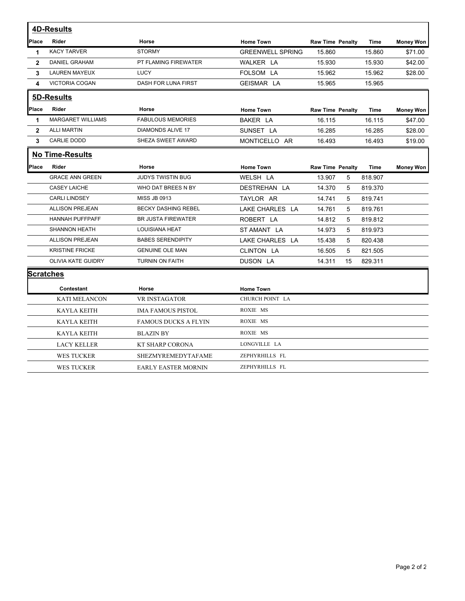| <b>4D-Results</b><br>Place<br><b>Rider</b><br>Horse<br><b>Home Town</b><br><b>Raw Time Penalty</b><br><b>Time</b><br><b>KACY TARVER</b><br><b>STORMY</b><br><b>GREENWELL SPRING</b><br>15.860<br>15.860<br>1<br><b>DANIEL GRAHAM</b><br>$\overline{2}$<br>PT FLAMING FIREWATER<br>WALKER LA<br>15.930<br>15.930<br><b>LAUREN MAYEUX</b><br>LUCY<br>FOLSOM LA<br>15.962<br>3<br>15.962<br><b>VICTORIA COGAN</b><br>DASH FOR LUNA FIRST<br>GEISMAR LA<br>15.965<br>4<br>15.965<br>5D-Results<br>Place<br><b>Rider</b><br>Horse<br><b>Home Town</b><br><b>Raw Time Penalty</b><br><b>Time</b><br><b>MARGARET WILLIAMS</b><br><b>FABULOUS MEMORIES</b><br>BAKER LA<br>16.115<br>16.115<br>1<br><b>ALLI MARTIN</b><br><b>DIAMONDS ALIVE 17</b><br>$\mathbf{2}$<br>SUNSET LA<br>16.285<br>16.285<br><b>CARLIE DODD</b><br>SHEZA SWEET AWARD<br>MONTICELLO AR<br>3<br>16.493<br>16.493<br><b>No Time-Results</b> |                  |
|-----------------------------------------------------------------------------------------------------------------------------------------------------------------------------------------------------------------------------------------------------------------------------------------------------------------------------------------------------------------------------------------------------------------------------------------------------------------------------------------------------------------------------------------------------------------------------------------------------------------------------------------------------------------------------------------------------------------------------------------------------------------------------------------------------------------------------------------------------------------------------------------------------------|------------------|
|                                                                                                                                                                                                                                                                                                                                                                                                                                                                                                                                                                                                                                                                                                                                                                                                                                                                                                           |                  |
|                                                                                                                                                                                                                                                                                                                                                                                                                                                                                                                                                                                                                                                                                                                                                                                                                                                                                                           | <b>Money Won</b> |
|                                                                                                                                                                                                                                                                                                                                                                                                                                                                                                                                                                                                                                                                                                                                                                                                                                                                                                           | \$71.00          |
|                                                                                                                                                                                                                                                                                                                                                                                                                                                                                                                                                                                                                                                                                                                                                                                                                                                                                                           | \$42.00          |
|                                                                                                                                                                                                                                                                                                                                                                                                                                                                                                                                                                                                                                                                                                                                                                                                                                                                                                           | \$28.00          |
|                                                                                                                                                                                                                                                                                                                                                                                                                                                                                                                                                                                                                                                                                                                                                                                                                                                                                                           |                  |
|                                                                                                                                                                                                                                                                                                                                                                                                                                                                                                                                                                                                                                                                                                                                                                                                                                                                                                           |                  |
|                                                                                                                                                                                                                                                                                                                                                                                                                                                                                                                                                                                                                                                                                                                                                                                                                                                                                                           | <b>Money Won</b> |
|                                                                                                                                                                                                                                                                                                                                                                                                                                                                                                                                                                                                                                                                                                                                                                                                                                                                                                           | \$47.00          |
|                                                                                                                                                                                                                                                                                                                                                                                                                                                                                                                                                                                                                                                                                                                                                                                                                                                                                                           | \$28.00          |
|                                                                                                                                                                                                                                                                                                                                                                                                                                                                                                                                                                                                                                                                                                                                                                                                                                                                                                           | \$19.00          |
|                                                                                                                                                                                                                                                                                                                                                                                                                                                                                                                                                                                                                                                                                                                                                                                                                                                                                                           |                  |
| Place<br>Rider<br>Horse<br><b>Home Town</b><br><b>Raw Time Penalty</b><br>Time                                                                                                                                                                                                                                                                                                                                                                                                                                                                                                                                                                                                                                                                                                                                                                                                                            | <b>Money Won</b> |
| <b>GRACE ANN GREEN</b><br><b>JUDYS TWISTIN BUG</b><br>WELSH LA<br>13.907<br>818.907<br>5                                                                                                                                                                                                                                                                                                                                                                                                                                                                                                                                                                                                                                                                                                                                                                                                                  |                  |
| <b>CASEY LAICHE</b><br>WHO DAT BREES N BY<br>DESTREHAN LA<br>14.370<br>5<br>819.370                                                                                                                                                                                                                                                                                                                                                                                                                                                                                                                                                                                                                                                                                                                                                                                                                       |                  |
| <b>CARLI LINDSEY</b><br><b>MISS JB 0913</b><br>TAYLOR AR<br>5<br>819.741<br>14.741                                                                                                                                                                                                                                                                                                                                                                                                                                                                                                                                                                                                                                                                                                                                                                                                                        |                  |
| LAKE CHARLES LA<br><b>ALLISON PREJEAN</b><br><b>BECKY DASHING REBEL</b><br>14.761<br>5<br>819.761                                                                                                                                                                                                                                                                                                                                                                                                                                                                                                                                                                                                                                                                                                                                                                                                         |                  |
| ROBERT LA<br>HANNAH PUFFPAFF<br><b>BR JUSTA FIREWATER</b><br>14.812<br>5<br>819.812                                                                                                                                                                                                                                                                                                                                                                                                                                                                                                                                                                                                                                                                                                                                                                                                                       |                  |
| <b>SHANNON HEATH</b><br><b>LOUISIANA HEAT</b><br>ST AMANT LA<br>14.973<br>5<br>819.973                                                                                                                                                                                                                                                                                                                                                                                                                                                                                                                                                                                                                                                                                                                                                                                                                    |                  |
| <b>ALLISON PREJEAN</b><br><b>BABES SERENDIPITY</b><br>LAKE CHARLES LA<br>5<br>15.438<br>820.438                                                                                                                                                                                                                                                                                                                                                                                                                                                                                                                                                                                                                                                                                                                                                                                                           |                  |
| <b>KRISTINE FRICKE</b><br>CLINTON LA<br>16.505<br>5<br>821.505<br><b>GENUINE OLE MAN</b>                                                                                                                                                                                                                                                                                                                                                                                                                                                                                                                                                                                                                                                                                                                                                                                                                  |                  |
| <b>OLIVIA KATE GUIDRY</b><br>TURNIN ON FAITH<br>DUSON LA<br>14.311<br>829.311<br>15                                                                                                                                                                                                                                                                                                                                                                                                                                                                                                                                                                                                                                                                                                                                                                                                                       |                  |
| <b>Scratches</b>                                                                                                                                                                                                                                                                                                                                                                                                                                                                                                                                                                                                                                                                                                                                                                                                                                                                                          |                  |
| <b>Contestant</b><br>Horse<br><b>Home Town</b>                                                                                                                                                                                                                                                                                                                                                                                                                                                                                                                                                                                                                                                                                                                                                                                                                                                            |                  |
| CHURCH POINT LA<br><b>VR INSTAGATOR</b><br><b>KATI MELANCON</b>                                                                                                                                                                                                                                                                                                                                                                                                                                                                                                                                                                                                                                                                                                                                                                                                                                           |                  |
| ROXIE MS<br><b>KAYLA KEITH</b><br><b>IMA FAMOUS PISTOL</b>                                                                                                                                                                                                                                                                                                                                                                                                                                                                                                                                                                                                                                                                                                                                                                                                                                                |                  |
| ROXIE MS<br><b>KAYLA KEITH</b><br><b>FAMOUS DUCKS A FLYIN</b>                                                                                                                                                                                                                                                                                                                                                                                                                                                                                                                                                                                                                                                                                                                                                                                                                                             |                  |
| ROXIE MS<br><b>KAYLA KEITH</b><br><b>BLAZIN BY</b>                                                                                                                                                                                                                                                                                                                                                                                                                                                                                                                                                                                                                                                                                                                                                                                                                                                        |                  |
| LONGVILLE LA<br><b>LACY KELLER</b><br><b>KT SHARP CORONA</b>                                                                                                                                                                                                                                                                                                                                                                                                                                                                                                                                                                                                                                                                                                                                                                                                                                              |                  |
| ZEPHYRHILLS FL<br><b>WES TUCKER</b><br>SHEZMYREMEDYTAFAME                                                                                                                                                                                                                                                                                                                                                                                                                                                                                                                                                                                                                                                                                                                                                                                                                                                 |                  |
| ZEPHYRHILLS FL<br><b>WES TUCKER</b><br><b>EARLY EASTER MORNIN</b>                                                                                                                                                                                                                                                                                                                                                                                                                                                                                                                                                                                                                                                                                                                                                                                                                                         |                  |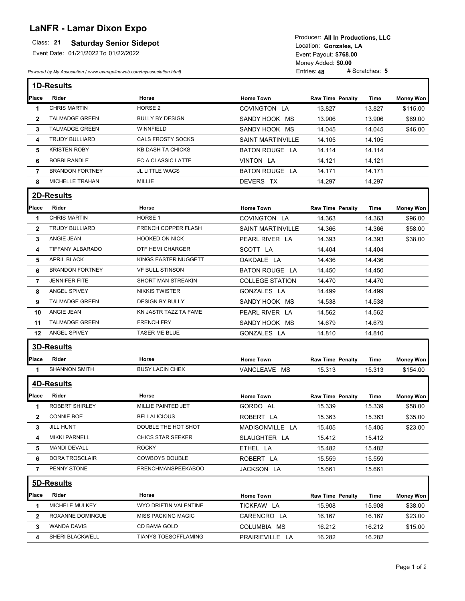# **LaNFR - Lamar Dixon Expo**

### **Class: 21 Saturday Senior Sidepot**

Event Date: 01/21/2022 To 01/22/2022

*Powered by My Association ( www.evangelineweb.com/myassociation.html)* 

**\$768.00** Event Payout: Entries: **48** Money Added: **\$0.00** Location: Gonzales, LA Producer: **All In Productions, LLC**

|                | <b>1D-Results</b>       |                           |                          |                         |        |                  |
|----------------|-------------------------|---------------------------|--------------------------|-------------------------|--------|------------------|
| Place          | Rider                   | Horse                     | <b>Home Town</b>         | <b>Raw Time Penalty</b> | Time   | <b>Money Won</b> |
| 1              | <b>CHRIS MARTIN</b>     | HORSE <sub>2</sub>        | COVINGTON LA             | 13.827                  | 13.827 | \$115.00         |
| $\mathbf{2}$   | <b>TALMADGE GREEN</b>   | <b>BULLY BY DESIGN</b>    | SANDY HOOK MS            | 13.906                  | 13.906 | \$69.00          |
| 3              | <b>TALMADGE GREEN</b>   | <b>WINNFIELD</b>          | SANDY HOOK MS            | 14.045                  | 14.045 | \$46.00          |
| 4              | <b>TRUDY BULLIARD</b>   | <b>CALS FROSTY SOCKS</b>  | <b>SAINT MARTINVILLE</b> | 14.105                  | 14.105 |                  |
| 5              | <b>KRISTEN ROBY</b>     | <b>KB DASH TA CHICKS</b>  | <b>BATON ROUGE LA</b>    | 14.114                  | 14.114 |                  |
| 6              | <b>BOBBI RANDLE</b>     | FC A CLASSIC LATTE        | VINTON LA                | 14.121                  | 14.121 |                  |
| $\overline{7}$ | <b>BRANDON FORTNEY</b>  | JL LITTLE WAGS            | <b>BATON ROUGE LA</b>    | 14.171                  | 14.171 |                  |
| 8              | MICHELLE TRAHAN         | MILLIE                    | DEVERS TX                | 14.297                  | 14.297 |                  |
|                | 2D-Results              |                           |                          |                         |        |                  |
| Place          | Rider                   | Horse                     | <b>Home Town</b>         | <b>Raw Time Penalty</b> | Time   | Money Won        |
| 1              | <b>CHRIS MARTIN</b>     | HORSE <sub>1</sub>        | COVINGTON LA             | 14.363                  | 14.363 | \$96.00          |
| $\mathbf{2}$   | <b>TRUDY BULLIARD</b>   | FRENCH COPPER FLASH       | <b>SAINT MARTINVILLE</b> | 14.366                  | 14.366 | \$58.00          |
| 3              | ANGIE JEAN              | <b>HOOKED ON NICK</b>     | PEARL RIVER LA           | 14.393                  | 14.393 | \$38.00          |
| 4              | <b>TIFFANY ALBARADO</b> | DTF HEMI CHARGER          | SCOTT LA                 | 14.404                  | 14.404 |                  |
| 5              | <b>APRIL BLACK</b>      | KINGS EASTER NUGGETT      | OAKDALE LA               | 14.436                  | 14.436 |                  |
| 6              | <b>BRANDON FORTNEY</b>  | VF BULL STINSON           | <b>BATON ROUGE LA</b>    | 14.450                  | 14.450 |                  |
| $\overline{7}$ | <b>JENNIFER FITE</b>    | SHORT MAN STREAKIN        | <b>COLLEGE STATION</b>   | 14.470                  | 14.470 |                  |
| 8              | ANGEL SPIVEY            | <b>NIKKIS TWISTER</b>     | GONZALES LA              | 14.499                  | 14.499 |                  |
| 9              | <b>TALMADGE GREEN</b>   | <b>DESIGN BY BULLY</b>    | SANDY HOOK MS            | 14.538                  | 14.538 |                  |
| 10             | ANGIE JEAN              | KN JASTR TAZZ TA FAME     | PEARL RIVER LA           | 14.562                  | 14.562 |                  |
| 11             | <b>TALMADGE GREEN</b>   | <b>FRENCH FRY</b>         | SANDY HOOK MS            | 14.679                  | 14.679 |                  |
| 12             | ANGEL SPIVEY            | TASER ME BLUE             | GONZALES LA              | 14.810                  | 14.810 |                  |
|                | <b>3D-Results</b>       |                           |                          |                         |        |                  |
| Place          | Rider                   | Horse                     | <b>Home Town</b>         | <b>Raw Time Penalty</b> | Time   | Money Won        |
| 1              | <b>SHANNON SMITH</b>    | <b>BUSY LACIN CHEX</b>    | VANCLEAVE MS             | 15.313                  | 15.313 | \$154.00         |
|                | <b>4D-Results</b>       |                           |                          |                         |        |                  |
| Place          | <b>Rider</b>            | Horse                     | <b>Home Town</b>         | <b>Raw Time Penalty</b> | Time   | <b>Money Won</b> |
| 1              | ROBERT SHIRLEY          | MILLIE PAINTED JET        | GORDO AL                 | 15.339                  | 15.339 | \$58.00          |
| $\overline{2}$ | <b>CONNIE BOE</b>       | <b>BELLALICIOUS</b>       | ROBERT LA                | 15.363                  | 15.363 | \$35.00          |
| 3              | <b>JILL HUNT</b>        | DOUBLE THE HOT SHOT       | MADISONVILLE LA          | 15.405                  | 15.405 | \$23.00          |
| 4              | <b>MIKKI PARNELL</b>    | <b>CHICS STAR SEEKER</b>  | SLAUGHTER LA             | 15.412                  | 15.412 |                  |
| 5              | <b>MANDI DEVALL</b>     | <b>ROCKY</b>              | ETHEL LA                 | 15.482                  | 15.482 |                  |
| 6              | DORA TROSCLAIR          | <b>COWBOYS DOUBLE</b>     | ROBERT LA                | 15.559                  | 15.559 |                  |
| $\overline{7}$ | PENNY STONE             | <b>FRENCHMANSPEEKABOO</b> | JACKSON LA               | 15.661                  | 15.661 |                  |
|                | 5D-Results              |                           |                          |                         |        |                  |
| Place          | Rider                   | Horse                     | <b>Home Town</b>         | <b>Raw Time Penalty</b> | Time   | <b>Money Won</b> |
| 1              | MICHELE MULKEY          | WYO DRIFTIN VALENTINE     | TICKFAW LA               | 15.908                  | 15.908 | \$38.00          |
| $\overline{2}$ | ROXANNE DOMINGUE        | <b>MISS PACKING MAGIC</b> | CARENCRO LA              | 16.167                  | 16.167 | \$23.00          |
| 3              | WANDA DAVIS             | CD BAMA GOLD              | COLUMBIA MS              | 16.212                  | 16.212 | \$15.00          |
| 4              | SHERI BLACKWELL         | TIANYS TOESOFFLAMING      | PRAIRIEVILLE LA          | 16.282                  | 16.282 |                  |